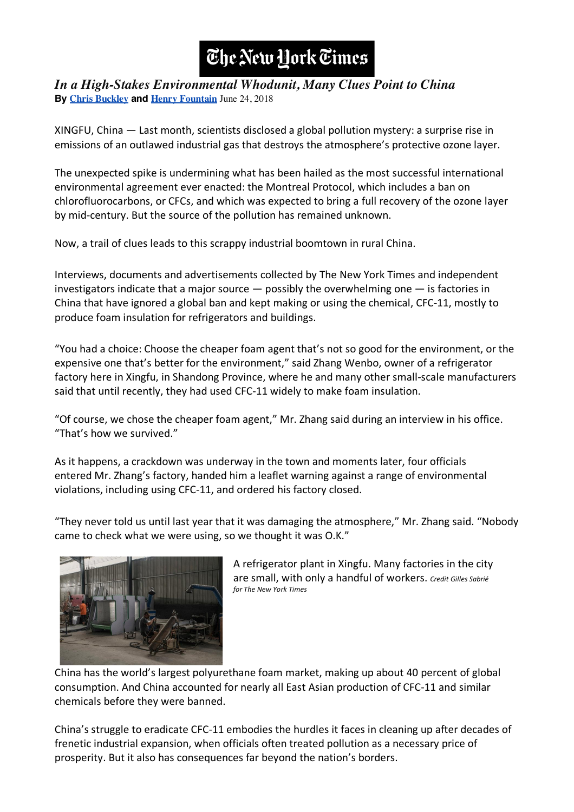## The New York Times

## *In a High-Stakes Environmental Whodunit, Many Clues Point to China* **By Chris Buckley and Henry Fountain** June 24, 2018

XINGFU, China — Last month, scientists disclosed a global pollution mystery: a surprise rise in emissions of an outlawed industrial gas that destroys the atmosphere's protective ozone layer.

The unexpected spike is undermining what has been hailed as the most successful international environmental agreement ever enacted: the Montreal Protocol, which includes a ban on chlorofluorocarbons, or CFCs, and which was expected to bring a full recovery of the ozone layer by mid-century. But the source of the pollution has remained unknown.

Now, a trail of clues leads to this scrappy industrial boomtown in rural China.

Interviews, documents and advertisements collected by The New York Times and independent investigators indicate that a major source  $-$  possibly the overwhelming one  $-$  is factories in China that have ignored a global ban and kept making or using the chemical, CFC-11, mostly to produce foam insulation for refrigerators and buildings.

"You had a choice: Choose the cheaper foam agent that's not so good for the environment, or the expensive one that's better for the environment," said Zhang Wenbo, owner of a refrigerator factory here in Xingfu, in Shandong Province, where he and many other small-scale manufacturers said that until recently, they had used CFC-11 widely to make foam insulation.

"Of course, we chose the cheaper foam agent," Mr. Zhang said during an interview in his office. "That's how we survived."

As it happens, a crackdown was underway in the town and moments later, four officials entered Mr. Zhang's factory, handed him a leaflet warning against a range of environmental violations, including using CFC-11, and ordered his factory closed.

"They never told us until last year that it was damaging the atmosphere," Mr. Zhang said. "Nobody came to check what we were using, so we thought it was O.K."



A refrigerator plant in Xingfu. Many factories in the city are small, with only a handful of workers. *Credit Gilles Sabrié for The New York Times*

China has the world's largest polyurethane foam market, making up about 40 percent of global consumption. And China accounted for nearly all East Asian production of CFC-11 and similar chemicals before they were banned.

China's struggle to eradicate CFC-11 embodies the hurdles it faces in cleaning up after decades of frenetic industrial expansion, when officials often treated pollution as a necessary price of prosperity. But it also has consequences far beyond the nation's borders.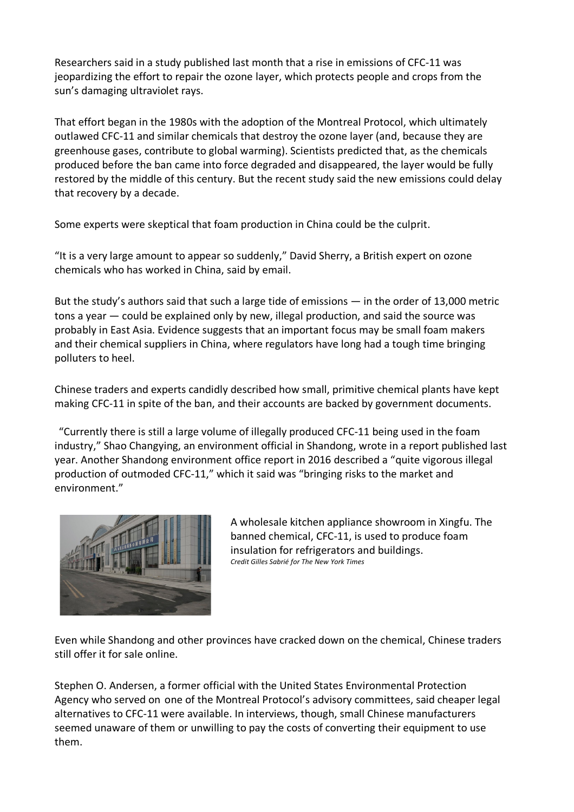Researchers said in a study published last month that a rise in emissions of CFC-11 was jeopardizing the effort to repair the ozone layer, which protects people and crops from the sun's damaging ultraviolet rays.

That effort began in the 1980s with the adoption of the Montreal Protocol, which ultimately outlawed CFC-11 and similar chemicals that destroy the ozone layer (and, because they are greenhouse gases, contribute to global warming). Scientists predicted that, as the chemicals produced before the ban came into force degraded and disappeared, the layer would be fully restored by the middle of this century. But the recent study said the new emissions could delay that recovery by a decade.

Some experts were skeptical that foam production in China could be the culprit.

"It is a very large amount to appear so suddenly," David Sherry, a British expert on ozone chemicals who has worked in China, said by email.

But the study's authors said that such a large tide of emissions — in the order of 13,000 metric tons a year — could be explained only by new, illegal production, and said the source was probably in East Asia. Evidence suggests that an important focus may be small foam makers and their chemical suppliers in China, where regulators have long had a tough time bringing polluters to heel.

Chinese traders and experts candidly described how small, primitive chemical plants have kept making CFC-11 in spite of the ban, and their accounts are backed by government documents.

"Currently there is still a large volume of illegally produced CFC-11 being used in the foam industry," Shao Changying, an environment official in Shandong, wrote in a report published last year. Another Shandong environment office report in 2016 described a "quite vigorous illegal production of outmoded CFC-11," which it said was "bringing risks to the market and environment."



A wholesale kitchen appliance showroom in Xingfu. The banned chemical, CFC-11, is used to produce foam insulation for refrigerators and buildings. *Credit Gilles Sabrié for The New York Times*

Even while Shandong and other provinces have cracked down on the chemical, Chinese traders still offer it for sale online.

Stephen O. Andersen, a former official with the United States Environmental Protection Agency who served on one of the Montreal Protocol's advisory committees, said cheaper legal alternatives to CFC-11 were available. In interviews, though, small Chinese manufacturers seemed unaware of them or unwilling to pay the costs of converting their equipment to use them.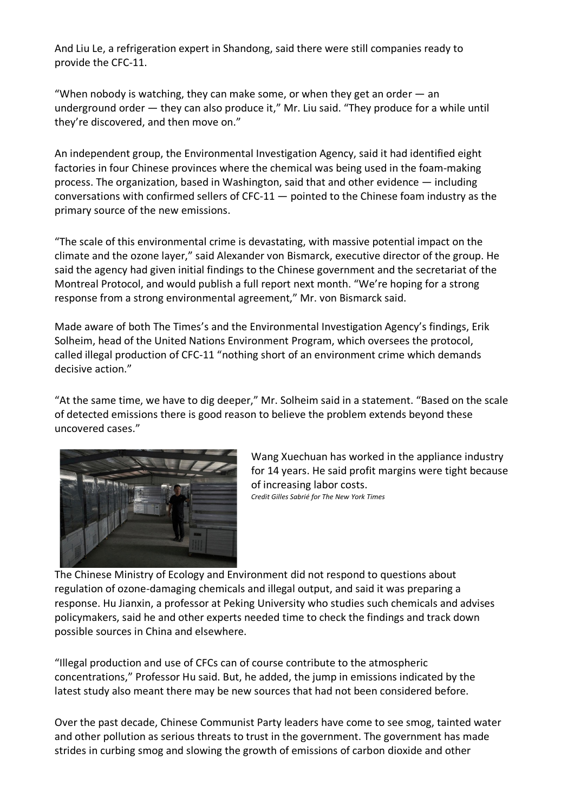And Liu Le, a refrigeration expert in Shandong, said there were still companies ready to provide the CFC-11.

"When nobody is watching, they can make some, or when they get an order  $-$  an underground order — they can also produce it," Mr. Liu said. "They produce for a while until they're discovered, and then move on."

An independent group, the Environmental Investigation Agency, said it had identified eight factories in four Chinese provinces where the chemical was being used in the foam-making process. The organization, based in Washington, said that and other evidence — including conversations with confirmed sellers of CFC-11  $-$  pointed to the Chinese foam industry as the primary source of the new emissions.

"The scale of this environmental crime is devastating, with massive potential impact on the climate and the ozone layer," said Alexander von Bismarck, executive director of the group. He said the agency had given initial findings to the Chinese government and the secretariat of the Montreal Protocol, and would publish a full report next month. "We're hoping for a strong response from a strong environmental agreement," Mr. von Bismarck said.

Made aware of both The Times's and the Environmental Investigation Agency's findings, Erik Solheim, head of the United Nations Environment Program, which oversees the protocol, called illegal production of CFC-11 "nothing short of an environment crime which demands decisive action."

"At the same time, we have to dig deeper," Mr. Solheim said in a statement. "Based on the scale of detected emissions there is good reason to believe the problem extends beyond these uncovered cases."



Wang Xuechuan has worked in the appliance industry for 14 years. He said profit margins were tight because of increasing labor costs. *Credit Gilles Sabrié for The New York Times*

The Chinese Ministry of Ecology and Environment did not respond to questions about regulation of ozone-damaging chemicals and illegal output, and said it was preparing a response. Hu Jianxin, a professor at Peking University who studies such chemicals and advises policymakers, said he and other experts needed time to check the findings and track down possible sources in China and elsewhere.

"Illegal production and use of CFCs can of course contribute to the atmospheric concentrations," Professor Hu said. But, he added, the jump in emissions indicated by the latest study also meant there may be new sources that had not been considered before.

Over the past decade, Chinese Communist Party leaders have come to see smog, tainted water and other pollution as serious threats to trust in the government. The government has made strides in curbing smog and slowing the growth of emissions of carbon dioxide and other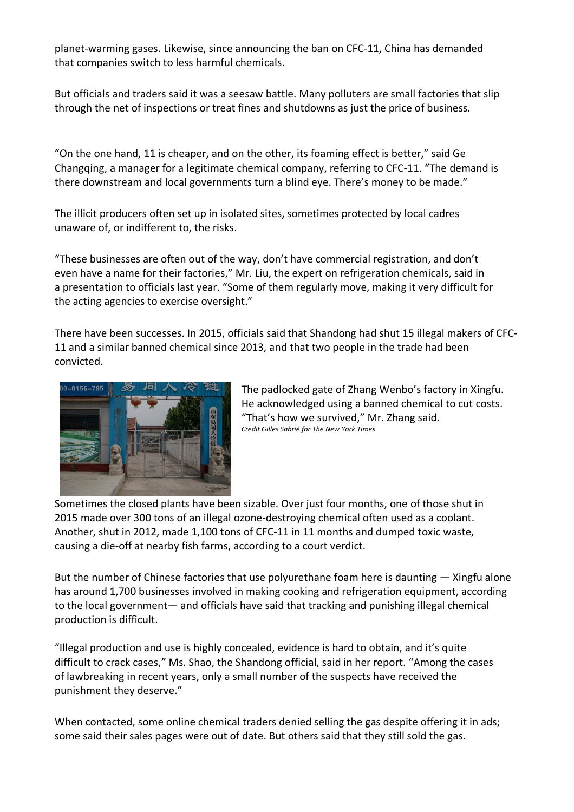planet-warming gases. Likewise, since announcing the ban on CFC-11, China has demanded that companies switch to less harmful chemicals.

But officials and traders said it was a seesaw battle. Many polluters are small factories that slip through the net of inspections or treat fines and shutdowns as just the price of business.

"On the one hand, 11 is cheaper, and on the other, its foaming effect is better," said Ge Changqing, a manager for a legitimate chemical company, referring to CFC-11. "The demand is there downstream and local governments turn a blind eye. There's money to be made."

The illicit producers often set up in isolated sites, sometimes protected by local cadres unaware of, or indifferent to, the risks.

"These businesses are often out of the way, don't have commercial registration, and don't even have a name for their factories," Mr. Liu, the expert on refrigeration chemicals, said in a presentation to officials last year. "Some of them regularly move, making it very difficult for the acting agencies to exercise oversight."

There have been successes. In 2015, officials said that Shandong had shut 15 illegal makers of CFC-11 and a similar banned chemical since 2013, and that two people in the trade had been convicted.



The padlocked gate of Zhang Wenbo's factory in Xingfu. He acknowledged using a banned chemical to cut costs. "That's how we survived," Mr. Zhang said. *Credit Gilles Sabrié for The New York Times*

Sometimes the closed plants have been sizable. Over just four months, one of those shut in 2015 made over 300 tons of an illegal ozone-destroying chemical often used as a coolant. Another, shut in 2012, made 1,100 tons of CFC-11 in 11 months and dumped toxic waste, causing a die-off at nearby fish farms, according to a court verdict.

But the number of Chinese factories that use polyurethane foam here is daunting  $-$  Xingfu alone has around 1,700 businesses involved in making cooking and refrigeration equipment, according to the local government— and officials have said that tracking and punishing illegal chemical production is difficult.

"Illegal production and use is highly concealed, evidence is hard to obtain, and it's quite difficult to crack cases," Ms. Shao, the Shandong official, said in her report. "Among the cases of lawbreaking in recent years, only a small number of the suspects have received the punishment they deserve."

When contacted, some online chemical traders denied selling the gas despite offering it in ads; some said their sales pages were out of date. But others said that they still sold the gas.